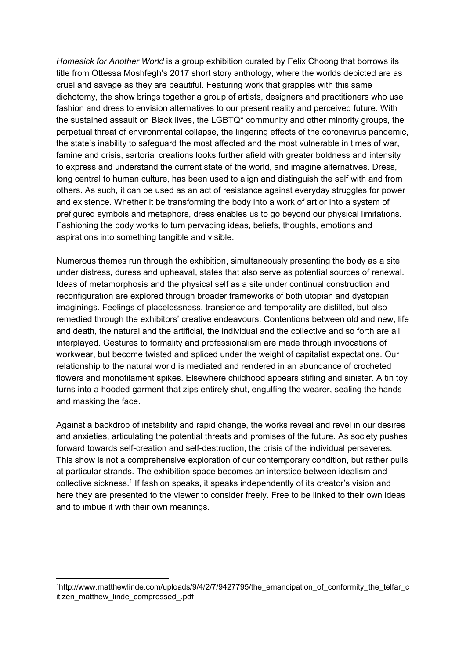*Homesick for Another World* is a group exhibition curated by Felix Choong that borrows its title from Ottessa Moshfegh's 2017 short story anthology, where the worlds depicted are as cruel and savage as they are beautiful. Featuring work that grapples with this same dichotomy, the show brings together a group of artists, designers and practitioners who use fashion and dress to envision alternatives to our present reality and perceived future. With the sustained assault on Black lives, the LGBTQ\* community and other minority groups, the perpetual threat of environmental collapse, the lingering effects of the coronavirus pandemic, the state's inability to safeguard the most affected and the most vulnerable in times of war, famine and crisis, sartorial creations looks further afield with greater boldness and intensity to express and understand the current state of the world, and imagine alternatives. Dress, long central to human culture, has been used to align and distinguish the self with and from others. As such, it can be used as an act of resistance against everyday struggles for power and existence. Whether it be transforming the body into a work of art or into a system of prefigured symbols and metaphors, dress enables us to go beyond our physical limitations. Fashioning the body works to turn pervading ideas, beliefs, thoughts, emotions and aspirations into something tangible and visible.

Numerous themes run through the exhibition, simultaneously presenting the body as a site under distress, duress and upheaval, states that also serve as potential sources of renewal. Ideas of metamorphosis and the physical self as a site under continual construction and reconfiguration are explored through broader frameworks of both utopian and dystopian imaginings. Feelings of placelessness, transience and temporality are distilled, but also remedied through the exhibitors' creative endeavours. Contentions between old and new, life and death, the natural and the artificial, the individual and the collective and so forth are all interplayed. Gestures to formality and professionalism are made through invocations of workwear, but become twisted and spliced under the weight of capitalist expectations. Our relationship to the natural world is mediated and rendered in an abundance of crocheted flowers and monofilament spikes. Elsewhere childhood appears stifling and sinister. A tin toy turns into a hooded garment that zips entirely shut, engulfing the wearer, sealing the hands and masking the face.

Against a backdrop of instability and rapid change, the works reveal and revel in our desires and anxieties, articulating the potential threats and promises of the future. As society pushes forward towards self-creation and self-destruction, the crisis of the individual perseveres. This show is not a comprehensive exploration of our contemporary condition, but rather pulls at particular strands. The exhibition space becomes an interstice between idealism and collective sickness.<sup>1</sup> If fashion speaks, it speaks independently of its creator's vision and here they are presented to the viewer to consider freely. Free to be linked to their own ideas and to imbue it with their own meanings.

<sup>1</sup>http://www.matthewlinde.com/uploads/9/4/2/7/9427795/the\_emancipation\_of\_conformity\_the\_telfar\_c itizen\_matthew\_linde\_compressed\_.pdf